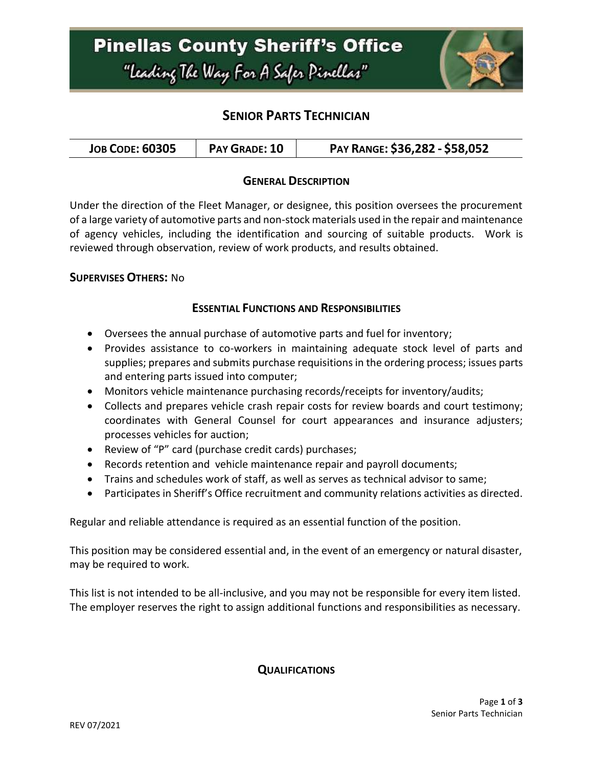

## **SENIOR PARTS TECHNICIAN**

| <b>JOB CODE: 60305</b> | PAY GRADE: 10 | PAY RANGE: \$36,282 - \$58,052 |
|------------------------|---------------|--------------------------------|
|------------------------|---------------|--------------------------------|

### **GENERAL DESCRIPTION**

Under the direction of the Fleet Manager, or designee, this position oversees the procurement of a large variety of automotive parts and non-stock materials used in the repair and maintenance of agency vehicles, including the identification and sourcing of suitable products. Work is reviewed through observation, review of work products, and results obtained.

### **SUPERVISES OTHERS:** No

#### **ESSENTIAL FUNCTIONS AND RESPONSIBILITIES**

- Oversees the annual purchase of automotive parts and fuel for inventory;
- Provides assistance to co-workers in maintaining adequate stock level of parts and supplies; prepares and submits purchase requisitions in the ordering process; issues parts and entering parts issued into computer;
- Monitors vehicle maintenance purchasing records/receipts for inventory/audits;
- Collects and prepares vehicle crash repair costs for review boards and court testimony; coordinates with General Counsel for court appearances and insurance adjusters; processes vehicles for auction;
- Review of "P" card (purchase credit cards) purchases;
- Records retention and vehicle maintenance repair and payroll documents;
- Trains and schedules work of staff, as well as serves as technical advisor to same;
- Participates in Sheriff's Office recruitment and community relations activities as directed.

Regular and reliable attendance is required as an essential function of the position.

This position may be considered essential and, in the event of an emergency or natural disaster, may be required to work.

This list is not intended to be all-inclusive, and you may not be responsible for every item listed. The employer reserves the right to assign additional functions and responsibilities as necessary.

**QUALIFICATIONS**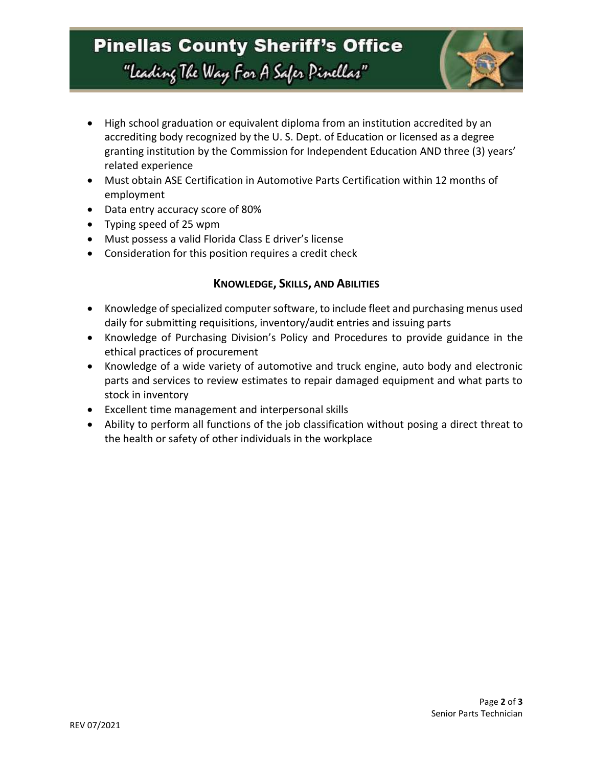## **Pinellas County Sheriff's Office** "Leading The Way For A Safer Pinellar"



- High school graduation or equivalent diploma from an institution accredited by an accrediting body recognized by the U. S. Dept. of Education or licensed as a degree granting institution by the Commission for Independent Education AND three (3) years' related experience
- Must obtain ASE Certification in Automotive Parts Certification within 12 months of employment
- Data entry accuracy score of 80%
- Typing speed of 25 wpm
- Must possess a valid Florida Class E driver's license
- Consideration for this position requires a credit check

### **KNOWLEDGE, SKILLS, AND ABILITIES**

- Knowledge of specialized computer software, to include fleet and purchasing menus used daily for submitting requisitions, inventory/audit entries and issuing parts
- Knowledge of Purchasing Division's Policy and Procedures to provide guidance in the ethical practices of procurement
- Knowledge of a wide variety of automotive and truck engine, auto body and electronic parts and services to review estimates to repair damaged equipment and what parts to stock in inventory
- Excellent time management and interpersonal skills
- Ability to perform all functions of the job classification without posing a direct threat to the health or safety of other individuals in the workplace